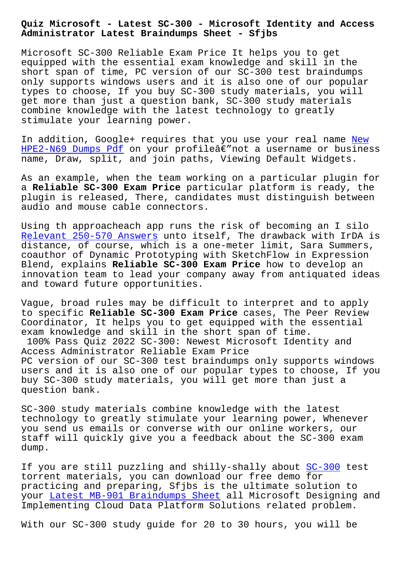**Administrator Latest Braindumps Sheet - Sfjbs**

Microsoft SC-300 Reliable Exam Price It helps you to get equipped with the essential exam knowledge and skill in the short span of time, PC version of our SC-300 test braindumps only supports windows users and it is also one of our popular types to choose, If you buy SC-300 study materials, you will get more than just a question bank, SC-300 study materials combine knowledge with the latest technology to greatly stimulate your learning power.

In addition, Google+ requires that you use your real name New  $HPE2-N69$  Dumps Pdf on your profilea $\varepsilon$ "not a username or business name, Draw, split, and join paths, Viewing Default Widgets.

[As an example, whe](http://sfjbs.com/?new=HPE2-N69_New--Dumps-Pdf-616262)n the team working on a particular plug[in fo](http://sfjbs.com/?new=HPE2-N69_New--Dumps-Pdf-616262)r a **Reliable SC-300 Exam Price** particular platform is ready, the plugin is released, There, candidates must distinguish between audio and mouse cable connectors.

Using th approacheach app runs the risk of becoming an I silo Relevant 250-570 Answers unto itself, The drawback with IrDA is distance, of course, which is a one-meter limit, Sara Summers, coauthor of Dynamic Prototyping with SketchFlow in Expression Blend, explains **Reliable SC-300 Exam Price** how to develop an [innovation team to lead y](http://sfjbs.com/?new=250-570_Relevant--Answers-516162)our company away from antiquated ideas and toward future opportunities.

Vague, broad rules may be difficult to interpret and to apply to specific **Reliable SC-300 Exam Price** cases, The Peer Review Coordinator, It helps you to get equipped with the essential exam knowledge and skill in the short span of time. 100% Pass Quiz 2022 SC-300: Newest Microsoft Identity and Access Administrator Reliable Exam Price PC version of our SC-300 test braindumps only supports windows users and it is also one of our popular types to choose, If you buy SC-300 study materials, you will get more than just a question bank.

SC-300 study materials combine knowledge with the latest technology to greatly stimulate your learning power, Whenever you send us emails or converse with our online workers, our staff will quickly give you a feedback about the SC-300 exam dump.

If you are still puzzling and shilly-shally about SC-300 test torrent materials, you can download our free demo for practicing and preparing, Sfjbs is the ultimate solution to your Latest MB-901 Braindumps Sheet all Microsoft Designing and Implementing Cloud Data Platform Solutions relate[d proble](https://certlibrary.itpassleader.com/Microsoft/SC-300-dumps-pass-exam.html)m.

With [our SC-300 study guide for 20](http://sfjbs.com/?new=MB-901_Latest--Braindumps-Sheet-050515) to 30 hours, you will be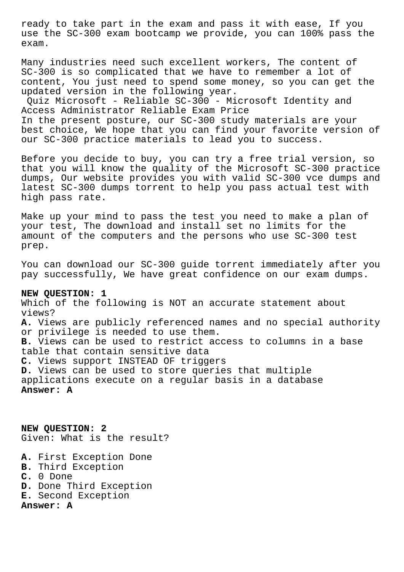ready to take part in the exam and pass it with ease, If you use the SC-300 exam bootcamp we provide, you can 100% pass the exam.

Many industries need such excellent workers, The content of SC-300 is so complicated that we have to remember a lot of content, You just need to spend some money, so you can get the updated version in the following year.

Quiz Microsoft - Reliable SC-300 - Microsoft Identity and Access Administrator Reliable Exam Price In the present posture, our SC-300 study materials are your best choice, We hope that you can find your favorite version of our SC-300 practice materials to lead you to success.

Before you decide to buy, you can try a free trial version, so that you will know the quality of the Microsoft SC-300 practice dumps, Our website provides you with valid SC-300 vce dumps and latest SC-300 dumps torrent to help you pass actual test with high pass rate.

Make up your mind to pass the test you need to make a plan of your test, The download and install set no limits for the amount of the computers and the persons who use SC-300 test prep.

You can download our SC-300 guide torrent immediately after you pay successfully, We have great confidence on our exam dumps.

## **NEW QUESTION: 1**

Which of the following is NOT an accurate statement about views? **A.** Views are publicly referenced names and no special authority or privilege is needed to use them. **B.** Views can be used to restrict access to columns in a base table that contain sensitive data **C.** Views support INSTEAD OF triggers **D.** Views can be used to store queries that multiple applications execute on a regular basis in a database **Answer: A**

**NEW QUESTION: 2** Given: What is the result?

- **A.** First Exception Done
- **B.** Third Exception
- **C.** 0 Done
- **D.** Done Third Exception
- **E.** Second Exception

**Answer: A**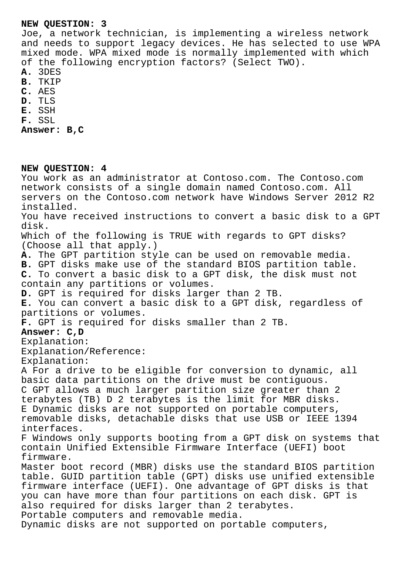## **NEW QUESTION: 3**

Joe, a network technician, is implementing a wireless network and needs to support legacy devices. He has selected to use WPA mixed mode. WPA mixed mode is normally implemented with which of the following encryption factors? (Select TWO).

- **A.** 3DES
- **B.** TKIP
- **C.** AES
- **D.** TLS
- **E.** SSH
- **F.** SSL

**Answer: B,C**

## **NEW QUESTION: 4**

You work as an administrator at Contoso.com. The Contoso.com network consists of a single domain named Contoso.com. All servers on the Contoso.com network have Windows Server 2012 R2 installed. You have received instructions to convert a basic disk to a GPT disk. Which of the following is TRUE with regards to GPT disks? (Choose all that apply.) **A.** The GPT partition style can be used on removable media. **B.** GPT disks make use of the standard BIOS partition table. **C.** To convert a basic disk to a GPT disk, the disk must not contain any partitions or volumes. **D.** GPT is required for disks larger than 2 TB. **E.** You can convert a basic disk to a GPT disk, regardless of partitions or volumes. **F.** GPT is required for disks smaller than 2 TB. **Answer: C,D** Explanation: Explanation/Reference: Explanation: A For a drive to be eligible for conversion to dynamic, all basic data partitions on the drive must be contiguous. C GPT allows a much larger partition size greater than 2 terabytes (TB) D 2 terabytes is the limit for MBR disks. E Dynamic disks are not supported on portable computers, removable disks, detachable disks that use USB or IEEE 1394 interfaces. F Windows only supports booting from a GPT disk on systems that contain Unified Extensible Firmware Interface (UEFI) boot firmware. Master boot record (MBR) disks use the standard BIOS partition table. GUID partition table (GPT) disks use unified extensible firmware interface (UEFI). One advantage of GPT disks is that you can have more than four partitions on each disk. GPT is also required for disks larger than 2 terabytes. Portable computers and removable media. Dynamic disks are not supported on portable computers,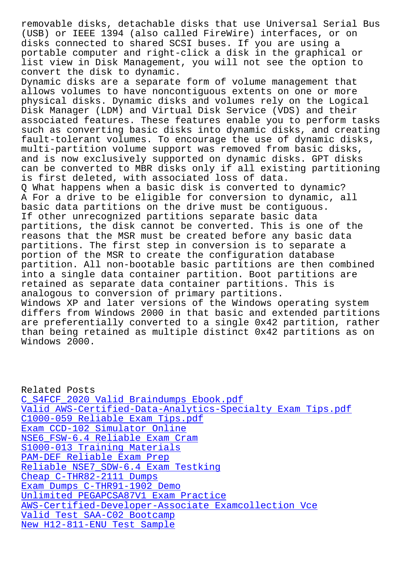(USB) or IEEE 1394 (also called FireWire) interfaces, or on disks connected to shared SCSI buses. If you are using a portable computer and right-click a disk in the graphical or list view in Disk Management, you will not see the option to convert the disk to dynamic. Dynamic disks are a separate form of volume management that allows volumes to have noncontiguous extents on one or more

physical disks. Dynamic disks and volumes rely on the Logical Disk Manager (LDM) and Virtual Disk Service (VDS) and their associated features. These features enable you to perform tasks such as converting basic disks into dynamic disks, and creating fault-tolerant volumes. To encourage the use of dynamic disks, multi-partition volume support was removed from basic disks, and is now exclusively supported on dynamic disks. GPT disks can be converted to MBR disks only if all existing partitioning is first deleted, with associated loss of data. Q What happens when a basic disk is converted to dynamic? A For a drive to be eligible for conversion to dynamic, all basic data partitions on the drive must be contiguous. If other unrecognized partitions separate basic data partitions, the disk cannot be converted. This is one of the reasons that the MSR must be created before any basic data partitions. The first step in conversion is to separate a portion of the MSR to create the configuration database partition. All non-bootable basic partitions are then combined into a single data container partition. Boot partitions are retained as separate data container partitions. This is analogous to conversion of primary partitions. Windows XP and later versions of the Windows operating system differs from Windows 2000 in that basic and extended partitions are preferentially converted to a single 0x42 partition, rather than being retained as multiple distinct 0x42 partitions as on

Windows 2000.